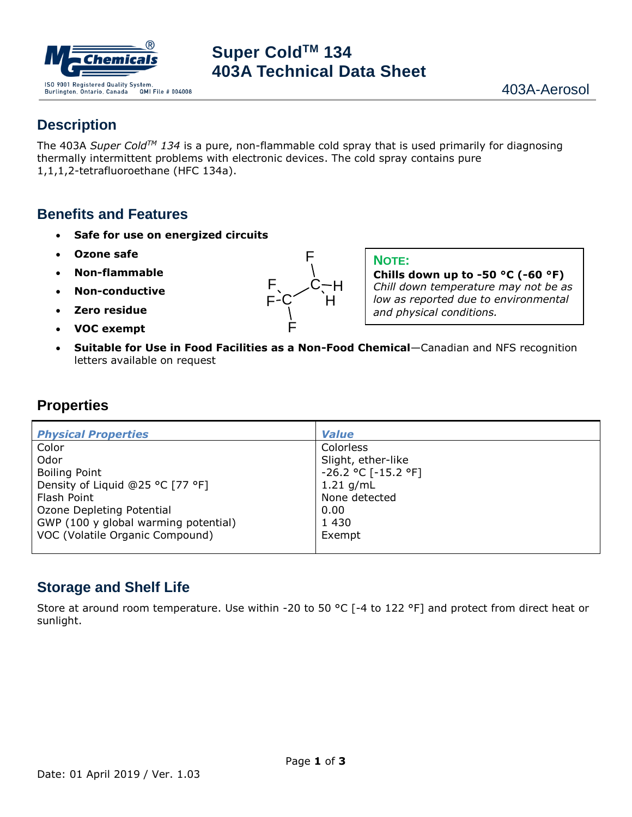

# **Super ColdTM 134 403A Technical Data Sheet**

#### **Description**

The 403A *Super ColdTM 134* is a pure, non-flammable cold spray that is used primarily for diagnosing thermally intermittent problems with electronic devices. The cold spray contains pure 1,1,1,2-tetrafluoroethane (HFC 134a).

#### **Benefits and Features**

- **Safe for use on energized circuits**
- **Ozone safe**
- **Non-flammable**
- **Non-conductive**
- **Zero residue**
- **VOC exempt**



**NOTE:**

**Chills down up to -50 °C (-60 °F)** *Chill down temperature may not be as low as reported due to environmental and physical conditions.*

• **Suitable for Use in Food Facilities as a Non-Food Chemical**—Canadian and NFS recognition letters available on request

#### **Properties**

| <b>Physical Properties</b>           | <b>Value</b>             |
|--------------------------------------|--------------------------|
| Color                                | Colorless                |
| Odor                                 | Slight, ether-like       |
| <b>Boiling Point</b>                 | $-26.2$ °C [ $-15.2$ °F] |
| Density of Liquid @25 °C [77 °F]     | 1.21 $q/mL$              |
| Flash Point                          | None detected            |
| Ozone Depleting Potential            | 0.00                     |
| GWP (100 y global warming potential) | 1 4 3 0                  |
| VOC (Volatile Organic Compound)      | Exempt                   |
|                                      |                          |

#### **Storage and Shelf Life**

Store at around room temperature. Use within -20 to 50 °C [-4 to 122 °F] and protect from direct heat or sunlight.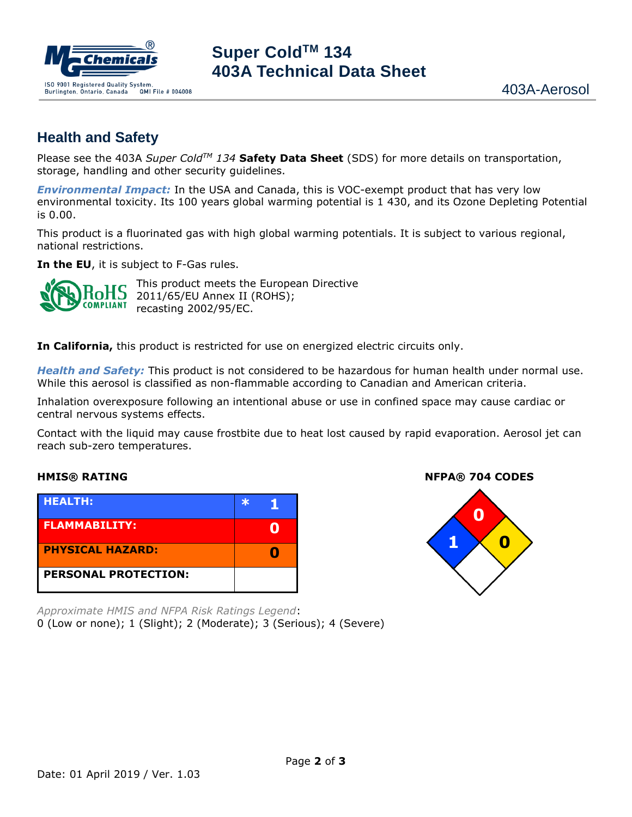

# **Super ColdTM 134 403A Technical Data Sheet**

## **Health and Safety**

Please see the 403A *Super ColdTM 134* **Safety Data Sheet** (SDS) for more details on transportation, storage, handling and other security guidelines.

*Environmental Impact:* In the USA and Canada, this is VOC-exempt product that has very low environmental toxicity. Its 100 years global warming potential is 1 430, and its Ozone Depleting Potential is 0.00.

This product is a fluorinated gas with high global warming potentials. It is subject to various regional, national restrictions.

**In the EU**, it is subject to F-Gas rules.



This product meets the European Directive 2011/65/EU Annex II (ROHS); recasting 2002/95/EC.

**In California,** this product is restricted for use on energized electric circuits only.

*Health and Safety:* This product is not considered to be hazardous for human health under normal use. While this aerosol is classified as non-flammable according to Canadian and American criteria.

Inhalation overexposure following an intentional abuse or use in confined space may cause cardiac or central nervous systems effects.

Contact with the liquid may cause frostbite due to heat lost caused by rapid evaporation. Aerosol jet can reach sub-zero temperatures.

| <b>HEALTH:</b>              |  |
|-----------------------------|--|
| <b>FLAMMABILITY:</b>        |  |
| <b>PHYSICAL HAZARD:</b>     |  |
| <b>PERSONAL PROTECTION:</b> |  |

*Approximate HMIS and NFPA Risk Ratings Legend*: 0 (Low or none); 1 (Slight); 2 (Moderate); 3 (Serious); 4 (Severe)

**HMIS® RATING NFPA® 704 CODES**

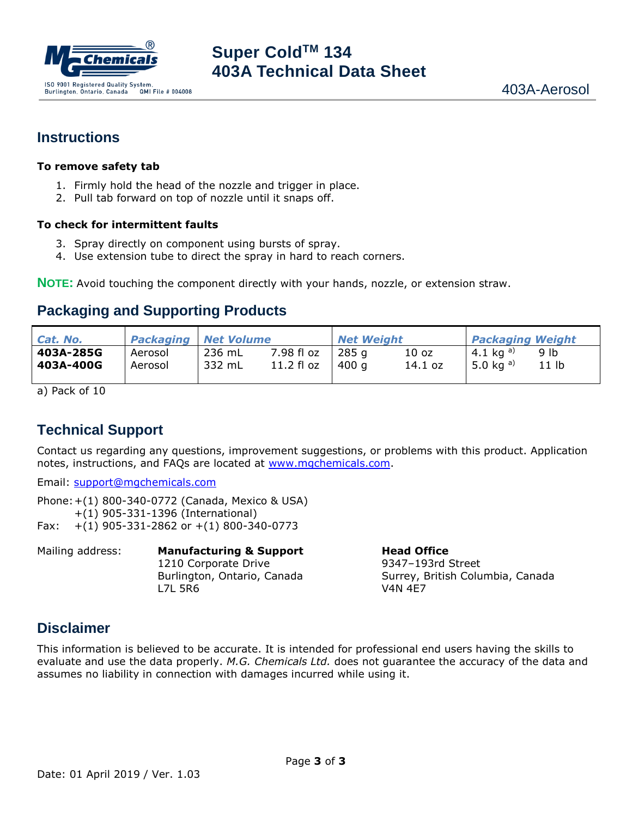

#### **Instructions**

#### **To remove safety tab**

- 1. Firmly hold the head of the nozzle and trigger in place.
- 2. Pull tab forward on top of nozzle until it snaps off.

#### **To check for intermittent faults**

- 3. Spray directly on component using bursts of spray.
- 4. Use extension tube to direct the spray in hard to reach corners.

**NOTE:** Avoid touching the component directly with your hands, nozzle, or extension straw.

### **Packaging and Supporting Products**

| Cat. No.  |         | <b>Packaging Net Volume</b> |            | <b>Net Weight</b> |         | <b>Packaging Weight</b> |                  |
|-----------|---------|-----------------------------|------------|-------------------|---------|-------------------------|------------------|
| 403A-285G | Aerosol | 236 mL                      | 7.98 fl oz | 285 g             | 10 oz   | 4.1 kg <sup>a)</sup>    | 9 lb             |
| 403A-400G | Aerosol | 332 mL                      | 11.2 fl oz | 400 a             | 14.1 oz | 5.0 kg $a)$             | 11 <sub>lb</sub> |

a) Pack of 10

## **Technical Support**

Contact us regarding any questions, improvement suggestions, or problems with this product. Application notes, instructions, and FAQs are located at [www.mgchemicals.com.](http://www.mgchemicals.com/)

Email: [support@mgchemicals.com](mailto:support@mgchemicals.com)

Phone:+(1) 800-340-0772 (Canada, Mexico & USA) +(1) 905-331-1396 (International) Fax:  $+(1)$  905-331-2862 or  $+(1)$  800-340-0773

Mailing address: **Manufacturing & Support Head Office** 1210 Corporate Drive 9347-193rd Street Burlington, Ontario, Canada Surrey, British Columbia, Canada L7L 5R6 V4N 4E7

### **Disclaimer**

This information is believed to be accurate. It is intended for professional end users having the skills to evaluate and use the data properly. *M.G. Chemicals Ltd.* does not guarantee the accuracy of the data and assumes no liability in connection with damages incurred while using it.